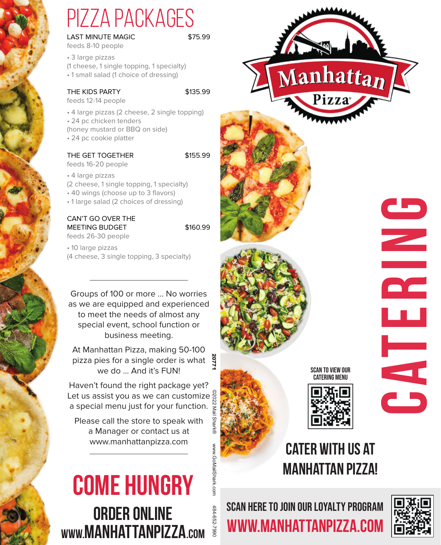# pizza packages

LAST MINUTE MAGIC **S75.99** 

feeds 8-10 people

• 3 large pizzas (1 cheese, 1 single topping, 1 specialty) • 1 small salad (1 choice of dressing)

### THE KIDS PARTY \$135.99

feeds 12-14 people

• 4 large pizzas (2 cheese, 2 single topping) • 24 pc chicken tenders (honey mustard or BBQ on side) • 24 pc cookie platter

## THE GET TOGETHER \$155.99

feeds 16-20 people

• 4 large pizzas (2 cheese, 1 single topping, 1 specialty) • 40 wings (choose up to 3 flavors)

• 1 large salad (2 choices of dressing)

## CAN'T GO OVER THE MEETING BUDGET \$160.99

feeds 26-30 people

• 10 large pizzas (4 cheese, 3 single topping, 3 specialty)

Groups of 100 or more … No worries as we are equipped and experienced to meet the needs of almost any special event, school function or business meeting.

At Manhattan Pizza, making 50-100 pizza pies for a single order is what a we do … And it's FUN!

Haven't found the right package yet? Let us assist you as we can customize a special menu just for your function. ©2022 Mail Shark®

Please call the store to speak with a Manager or contact us at

# **www.manhattanpizza.com COME HUNGRY**